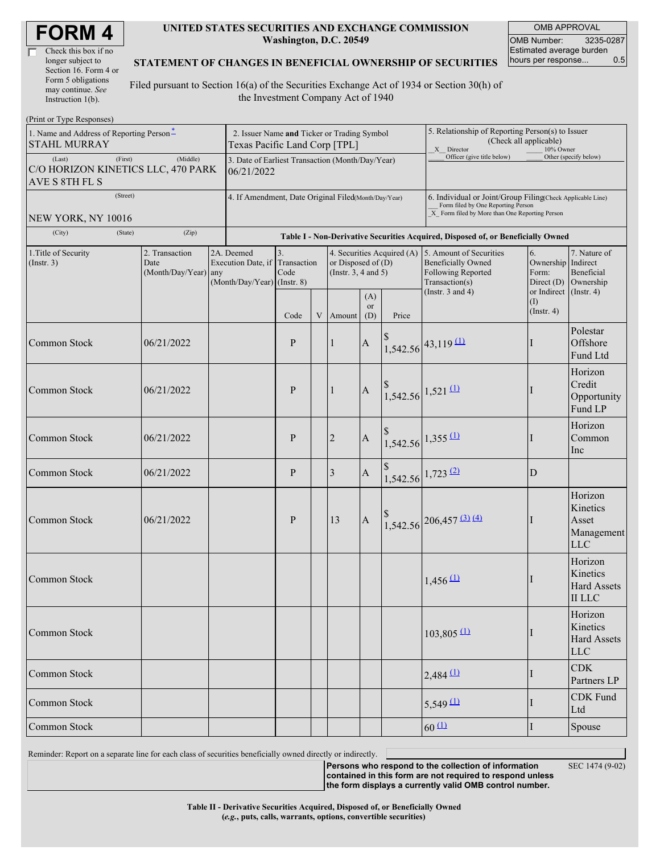| <b>FORM4</b> |  |
|--------------|--|
|--------------|--|

| Check this box if no  |
|-----------------------|
| longer subject to     |
| Section 16. Form 4 or |
| Form 5 obligations    |
| may continue. See     |
| Instruction 1(b).     |

#### **UNITED STATES SECURITIES AND EXCHANGE COMMISSION Washington, D.C. 20549**

OMB APPROVAL OMB Number: 3235-0287 Estimated average burden hours per response... 0.5

#### **STATEMENT OF CHANGES IN BENEFICIAL OWNERSHIP OF SECURITIES**

Filed pursuant to Section 16(a) of the Securities Exchange Act of 1934 or Section 30(h) of the Investment Company Act of 1940

| (Print or Type Responses)                                                   |                                                                              |                                                                               |              |             |                                                                                                               |                  |                                                                                                                                                    |                                                                                                                                                       |                         |                                                                         |  |
|-----------------------------------------------------------------------------|------------------------------------------------------------------------------|-------------------------------------------------------------------------------|--------------|-------------|---------------------------------------------------------------------------------------------------------------|------------------|----------------------------------------------------------------------------------------------------------------------------------------------------|-------------------------------------------------------------------------------------------------------------------------------------------------------|-------------------------|-------------------------------------------------------------------------|--|
| 1. Name and Address of Reporting Person <sup>*</sup><br><b>STAHL MURRAY</b> | 2. Issuer Name and Ticker or Trading Symbol<br>Texas Pacific Land Corp [TPL] |                                                                               |              |             |                                                                                                               |                  | 5. Relationship of Reporting Person(s) to Issuer<br>(Check all applicable)<br>X Director<br>10% Owner                                              |                                                                                                                                                       |                         |                                                                         |  |
| (First)<br>(Last)<br>C/O HORIZON KINETICS LLC, 470 PARK<br>AVE S 8TH FL S   | 3. Date of Earliest Transaction (Month/Day/Year)<br>06/21/2022               |                                                                               |              |             |                                                                                                               |                  | Officer (give title below)                                                                                                                         |                                                                                                                                                       | Other (specify below)   |                                                                         |  |
| (Street)<br>NEW YORK, NY 10016                                              | 4. If Amendment, Date Original Filed(Month/Day/Year)                         |                                                                               |              |             |                                                                                                               |                  | 6. Individual or Joint/Group Filing(Check Applicable Line)<br>Form filed by One Reporting Person<br>X Form filed by More than One Reporting Person |                                                                                                                                                       |                         |                                                                         |  |
| (City)<br>(State)                                                           | (Zip)                                                                        |                                                                               |              |             |                                                                                                               |                  |                                                                                                                                                    | Table I - Non-Derivative Securities Acquired, Disposed of, or Beneficially Owned                                                                      |                         |                                                                         |  |
| 1. Title of Security<br>(Insert. 3)                                         | 2. Transaction<br>Date<br>(Month/Day/Year) any                               | 2A. Deemed<br>Execution Date, if Transaction<br>$(Month/Day/Year)$ (Instr. 8) | 3.<br>Code   |             | 4. Securities Acquired (A) 5. Amount of Securities<br>or Disposed of $(D)$<br>(Instr. $3, 4$ and $5$ )<br>(A) |                  |                                                                                                                                                    | 6.<br>Ownership<br><b>Beneficially Owned</b><br>Following Reported<br>Form:<br>Transaction(s)<br>Direct $(D)$<br>(Instr. $3$ and $4$ )<br>or Indirect |                         | 7. Nature of<br>Indirect<br>Beneficial<br>Ownership<br>$($ Instr. 4 $)$ |  |
|                                                                             |                                                                              |                                                                               | Code         | $\mathbf V$ | Amount                                                                                                        | <b>or</b><br>(D) | Price                                                                                                                                              |                                                                                                                                                       | (I)<br>$($ Instr. 4 $)$ |                                                                         |  |
| <b>Common Stock</b>                                                         | 06/21/2022                                                                   |                                                                               | P            |             | $\mathbf{1}$                                                                                                  | $\mathbf{A}$     |                                                                                                                                                    | $1,542.56$ <sup>43,119(1)</sup>                                                                                                                       |                         | Polestar<br>Offshore<br>Fund Ltd                                        |  |
| <b>Common Stock</b>                                                         | 06/21/2022                                                                   |                                                                               | P            |             | $\mathbf{1}$                                                                                                  | $\mathbf{A}$     |                                                                                                                                                    | $1,542.56$ <sup>1,521</sup> <sup>(1)</sup>                                                                                                            |                         | Horizon<br>Credit<br>Opportunity<br>Fund LP                             |  |
| Common Stock                                                                | 06/21/2022                                                                   |                                                                               | $\mathbf{P}$ |             | $\sqrt{2}$                                                                                                    | $\mathbf{A}$     |                                                                                                                                                    | $1,542.56$ $1,355$ $\underline{(1)}$                                                                                                                  |                         | Horizon<br>Common<br>Inc                                                |  |
| <b>Common Stock</b>                                                         | 06/21/2022                                                                   |                                                                               | P            |             | 3                                                                                                             | $\mathbf{A}$     |                                                                                                                                                    | $1,542.56$ 1,723 (2)                                                                                                                                  | D                       |                                                                         |  |
| Common Stock                                                                | 06/21/2022                                                                   |                                                                               | P            |             | 13                                                                                                            | $\mathbf{A}$     |                                                                                                                                                    | $1,542.56$ 206,457 (3) (4)                                                                                                                            |                         | Horizon<br>Kinetics<br>Asset<br>Management<br><b>LLC</b>                |  |
| <b>Common Stock</b>                                                         |                                                                              |                                                                               |              |             |                                                                                                               |                  |                                                                                                                                                    | $1,456 \overline{11}$                                                                                                                                 |                         | Horizon<br>Kinetics<br><b>Hard Assets</b><br>$\rm II$ LLC               |  |
| Common Stock                                                                |                                                                              |                                                                               |              |             |                                                                                                               |                  |                                                                                                                                                    | $103,805$ <sup>(1)</sup>                                                                                                                              |                         | Horizon<br>Kinetics<br><b>Hard Assets</b><br><b>LLC</b>                 |  |
| Common Stock                                                                |                                                                              |                                                                               |              |             |                                                                                                               |                  |                                                                                                                                                    | $2,484$ <sup>(1)</sup>                                                                                                                                |                         | <b>CDK</b><br>Partners LP                                               |  |
| Common Stock                                                                |                                                                              |                                                                               |              |             |                                                                                                               |                  |                                                                                                                                                    | $5,549 \underline{11}$                                                                                                                                |                         | <b>CDK</b> Fund<br>Ltd                                                  |  |
| Common Stock                                                                |                                                                              |                                                                               |              |             |                                                                                                               |                  |                                                                                                                                                    | $60 \text{ L}$                                                                                                                                        | I                       | Spouse                                                                  |  |

Reminder: Report on a separate line for each class of securities beneficially owned directly or indirectly.

**Persons who respond to the collection of information**

SEC 1474 (9-02)

**contained in this form are not required to respond unless the form displays a currently valid OMB control number.**

**Table II - Derivative Securities Acquired, Disposed of, or Beneficially Owned (***e.g.***, puts, calls, warrants, options, convertible securities)**